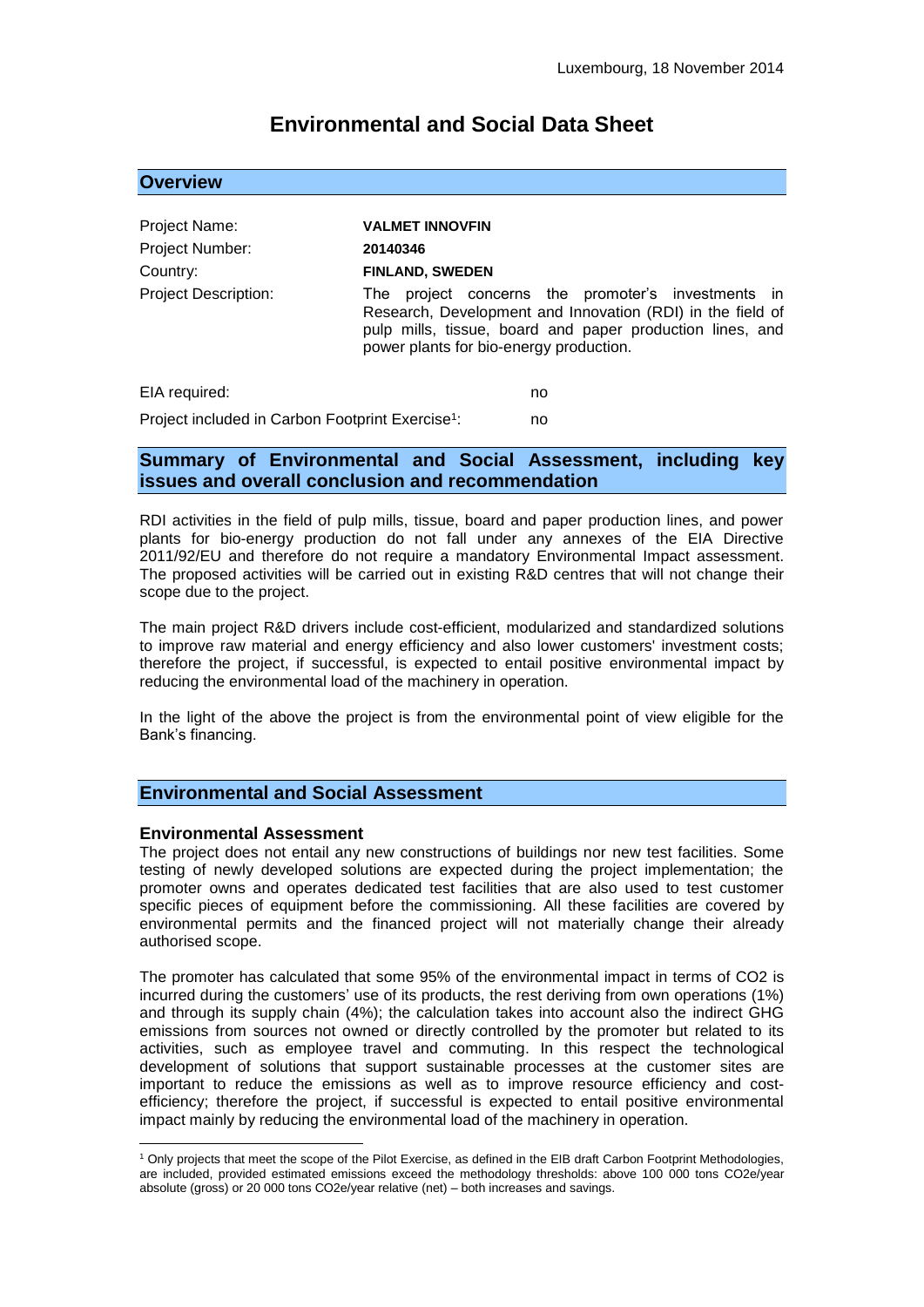# **Environmental and Social Data Sheet**

### **Overview**

| Project Name:               | <b>VALMET INNOVFIN</b>                                                                                                                                                                                                      |
|-----------------------------|-----------------------------------------------------------------------------------------------------------------------------------------------------------------------------------------------------------------------------|
| Project Number:             | 20140346                                                                                                                                                                                                                    |
| Country:                    | <b>FINLAND, SWEDEN</b>                                                                                                                                                                                                      |
| <b>Project Description:</b> | project concerns the promoter's investments in<br>The<br>Research, Development and Innovation (RDI) in the field of<br>pulp mills, tissue, board and paper production lines, and<br>power plants for bio-energy production. |
| EIA required:               | no                                                                                                                                                                                                                          |

Project included in Carbon Footprint Exercise<sup>1</sup>: : no

## **Summary of Environmental and Social Assessment, including key issues and overall conclusion and recommendation**

RDI activities in the field of pulp mills, tissue, board and paper production lines, and power plants for bio-energy production do not fall under any annexes of the EIA Directive 2011/92/EU and therefore do not require a mandatory Environmental Impact assessment. The proposed activities will be carried out in existing R&D centres that will not change their scope due to the project.

The main project R&D drivers include cost-efficient, modularized and standardized solutions to improve raw material and energy efficiency and also lower customers' investment costs; therefore the project, if successful, is expected to entail positive environmental impact by reducing the environmental load of the machinery in operation.

In the light of the above the project is from the environmental point of view eligible for the Bank's financing.

# **Environmental and Social Assessment**

### **Environmental Assessment**

1

The project does not entail any new constructions of buildings nor new test facilities. Some testing of newly developed solutions are expected during the project implementation; the promoter owns and operates dedicated test facilities that are also used to test customer specific pieces of equipment before the commissioning. All these facilities are covered by environmental permits and the financed project will not materially change their already authorised scope.

The promoter has calculated that some 95% of the environmental impact in terms of CO2 is incurred during the customers' use of its products, the rest deriving from own operations (1%) and through its supply chain (4%); the calculation takes into account also the indirect GHG emissions from sources not owned or directly controlled by the promoter but related to its activities, such as employee travel and commuting. In this respect the technological development of solutions that support sustainable processes at the customer sites are important to reduce the emissions as well as to improve resource efficiency and costefficiency; therefore the project, if successful is expected to entail positive environmental impact mainly by reducing the environmental load of the machinery in operation.

<sup>1</sup> Only projects that meet the scope of the Pilot Exercise, as defined in the EIB draft Carbon Footprint Methodologies, are included, provided estimated emissions exceed the methodology thresholds: above 100 000 tons CO2e/year absolute (gross) or 20 000 tons CO2e/year relative (net) – both increases and savings.